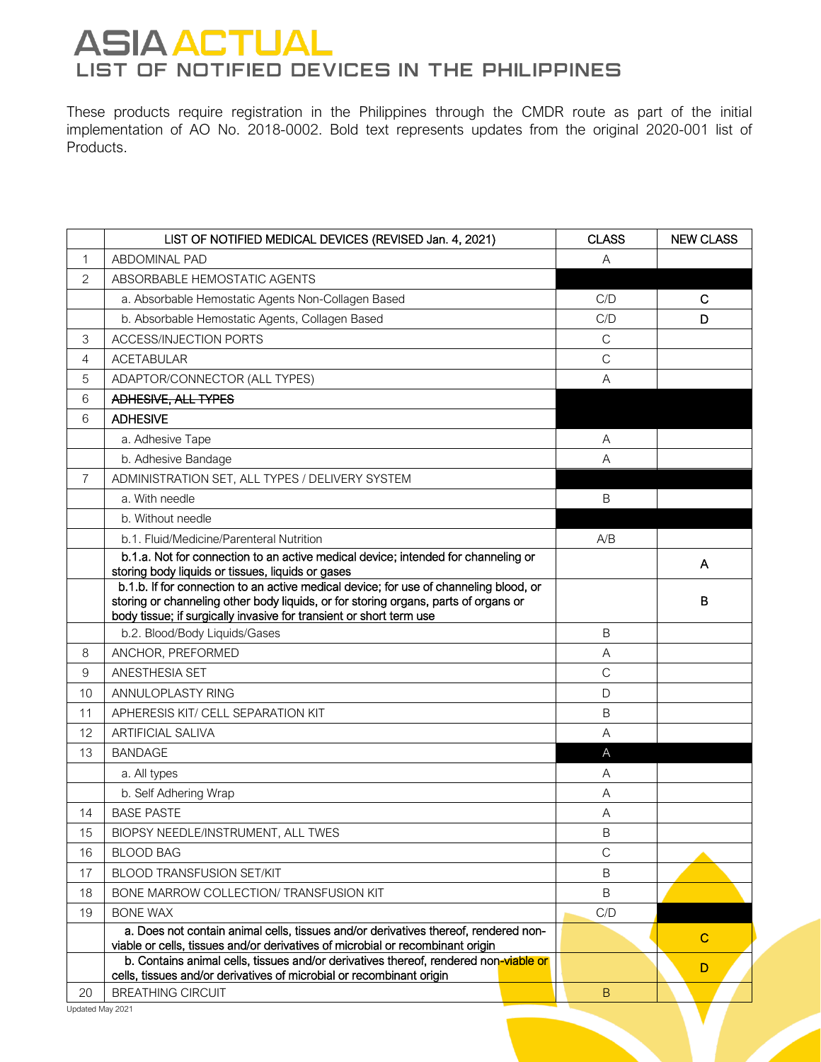These products require registration in the Philippines through the CMDR route as part of the initial implementation of AO No. 2018-0002. Bold text represents updates from the original 2020-001 list of Products.

|                | LIST OF NOTIFIED MEDICAL DEVICES (REVISED Jan. 4, 2021)                                                                                                                                                                                             | <b>CLASS</b>   | <b>NEW CLASS</b> |
|----------------|-----------------------------------------------------------------------------------------------------------------------------------------------------------------------------------------------------------------------------------------------------|----------------|------------------|
| $\mathbf{1}$   | <b>ABDOMINAL PAD</b>                                                                                                                                                                                                                                | Α              |                  |
| $\overline{2}$ | ABSORBABLE HEMOSTATIC AGENTS                                                                                                                                                                                                                        |                |                  |
|                | a. Absorbable Hemostatic Agents Non-Collagen Based                                                                                                                                                                                                  | C/D            | C                |
|                | b. Absorbable Hemostatic Agents, Collagen Based                                                                                                                                                                                                     | C/D            | D                |
| 3              | <b>ACCESS/INJECTION PORTS</b>                                                                                                                                                                                                                       | $\mathsf C$    |                  |
| $\overline{4}$ | <b>ACETABULAR</b>                                                                                                                                                                                                                                   | $\mathsf{C}$   |                  |
| 5              | ADAPTOR/CONNECTOR (ALL TYPES)                                                                                                                                                                                                                       | Α              |                  |
| 6              | ADHESIVE, ALL TYPES                                                                                                                                                                                                                                 |                |                  |
| 6              | <b>ADHESIVE</b>                                                                                                                                                                                                                                     |                |                  |
|                | a. Adhesive Tape                                                                                                                                                                                                                                    | Α              |                  |
|                | b. Adhesive Bandage                                                                                                                                                                                                                                 | $\overline{A}$ |                  |
| $\overline{7}$ | ADMINISTRATION SET, ALL TYPES / DELIVERY SYSTEM                                                                                                                                                                                                     |                |                  |
|                | a. With needle                                                                                                                                                                                                                                      | B              |                  |
|                | b. Without needle                                                                                                                                                                                                                                   |                |                  |
|                | b.1. Fluid/Medicine/Parenteral Nutrition                                                                                                                                                                                                            | A/B            |                  |
|                | b.1.a. Not for connection to an active medical device; intended for channeling or<br>storing body liquids or tissues, liquids or gases                                                                                                              |                | A                |
|                | b.1.b. If for connection to an active medical device; for use of channeling blood, or<br>storing or channeling other body liquids, or for storing organs, parts of organs or<br>body tissue; if surgically invasive for transient or short term use |                | B                |
|                | b.2. Blood/Body Liquids/Gases                                                                                                                                                                                                                       | $\overline{B}$ |                  |
| 8              | ANCHOR, PREFORMED                                                                                                                                                                                                                                   | Α              |                  |
| 9              | ANESTHESIA SET                                                                                                                                                                                                                                      | $\mathsf{C}$   |                  |
| 10             | ANNULOPLASTY RING                                                                                                                                                                                                                                   | D              |                  |
| 11             | APHERESIS KIT/ CELL SEPARATION KIT                                                                                                                                                                                                                  | B              |                  |
| 12             | <b>ARTIFICIAL SALIVA</b>                                                                                                                                                                                                                            | Α              |                  |
| 13             | <b>BANDAGE</b>                                                                                                                                                                                                                                      | A              |                  |
|                | a. All types                                                                                                                                                                                                                                        | A              |                  |
|                | b. Self Adhering Wrap                                                                                                                                                                                                                               | A              |                  |
| 14             | <b>BASE PASTE</b>                                                                                                                                                                                                                                   | A              |                  |
| 15             | BIOPSY NEEDLE/INSTRUMENT, ALL TWES                                                                                                                                                                                                                  | B              |                  |
| 16             | <b>BLOOD BAG</b>                                                                                                                                                                                                                                    | $\mathsf{C}$   |                  |
| 17             | <b>BLOOD TRANSFUSION SET/KIT</b>                                                                                                                                                                                                                    | B              |                  |
| 18             | BONE MARROW COLLECTION/ TRANSFUSION KIT                                                                                                                                                                                                             | B              |                  |
| 19             | <b>BONE WAX</b>                                                                                                                                                                                                                                     | C/D            |                  |
|                | a. Does not contain animal cells, tissues and/or derivatives thereof, rendered non-<br>viable or cells, tissues and/or derivatives of microbial or recombinant origin                                                                               |                | $\mathbf C$      |
|                | b. Contains animal cells, tissues and/or derivatives thereof, rendered non-viable or<br>cells, tissues and/or derivatives of microbial or recombinant origin                                                                                        |                | D                |
| 20             | <b>BREATHING CIRCUIT</b>                                                                                                                                                                                                                            | B              |                  |

V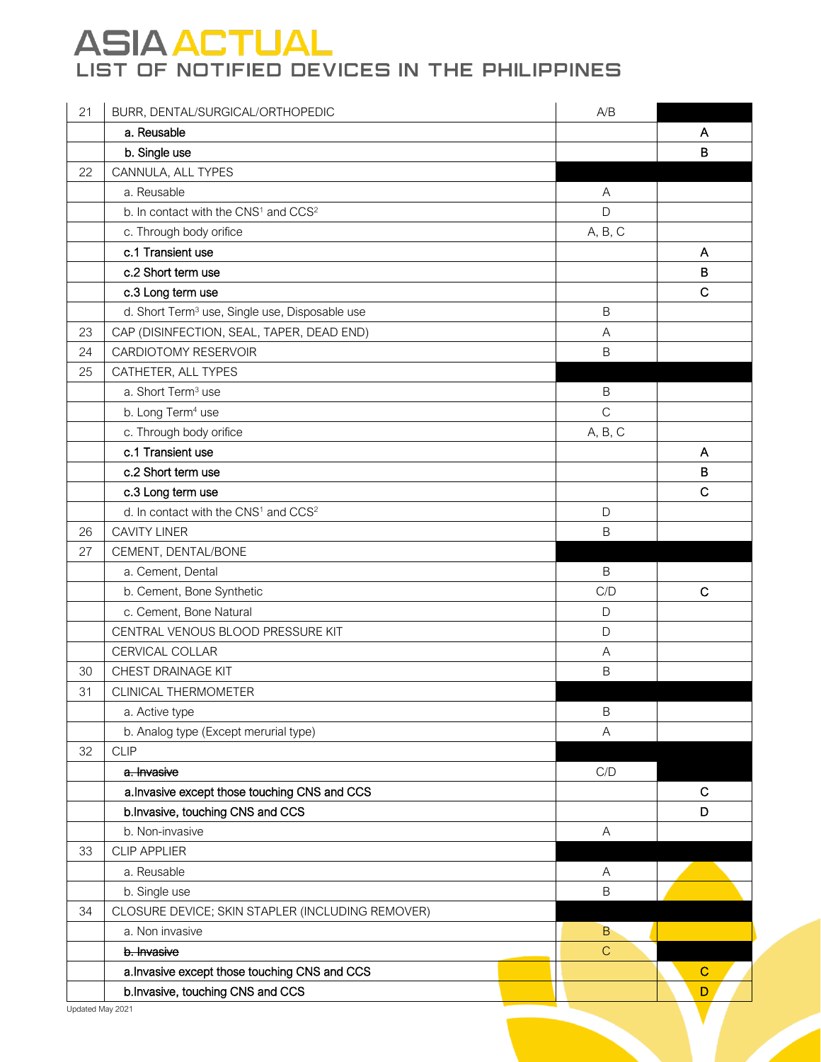| 21 | BURR, DENTAL/SURGICAL/ORTHOPEDIC                             | A/B          |              |
|----|--------------------------------------------------------------|--------------|--------------|
|    | a. Reusable                                                  |              | A            |
|    | b. Single use                                                |              | B            |
| 22 | CANNULA, ALL TYPES                                           |              |              |
|    | a. Reusable                                                  | Α            |              |
|    | b. In contact with the CNS <sup>1</sup> and CCS <sup>2</sup> | D            |              |
|    | c. Through body orifice                                      | A, B, C      |              |
|    | c.1 Transient use                                            |              | A            |
|    | c.2 Short term use                                           |              | B            |
|    | c.3 Long term use                                            |              | $\mathsf{C}$ |
|    | d. Short Term <sup>3</sup> use, Single use, Disposable use   | $\sf B$      |              |
| 23 | CAP (DISINFECTION, SEAL, TAPER, DEAD END)                    | $\mathsf{A}$ |              |
| 24 | CARDIOTOMY RESERVOIR                                         | $\sf B$      |              |
| 25 | CATHETER, ALL TYPES                                          |              |              |
|    | a. Short Term <sup>3</sup> use                               | $\sf B$      |              |
|    | b. Long Term <sup>4</sup> use                                | $\mathsf{C}$ |              |
|    | c. Through body orifice                                      | A, B, C      |              |
|    | c.1 Transient use                                            |              | A            |
|    | c.2 Short term use                                           |              | в            |
|    | c.3 Long term use                                            |              | $\mathsf{C}$ |
|    | d. In contact with the CNS <sup>1</sup> and CCS <sup>2</sup> | D            |              |
| 26 | <b>CAVITY LINER</b>                                          | B            |              |
| 27 | CEMENT, DENTAL/BONE                                          |              |              |
|    | a. Cement, Dental                                            | $\mathsf B$  |              |
|    | b. Cement, Bone Synthetic                                    | C/D          | $\mathbf C$  |
|    | c. Cement, Bone Natural                                      | $\mathsf D$  |              |
|    | CENTRAL VENOUS BLOOD PRESSURE KIT                            | $\mathsf D$  |              |
|    | CERVICAL COLLAR                                              | A            |              |
| 30 | CHEST DRAINAGE KIT                                           | $\mathsf B$  |              |
| 31 | <b>CLINICAL THERMOMETER</b>                                  |              |              |
|    | a. Active type                                               | $\mathsf B$  |              |
|    | b. Analog type (Except merurial type)                        | A            |              |
| 32 | <b>CLIP</b>                                                  |              |              |
|    | a. Invasive                                                  | C/D          |              |
|    | a. Invasive except those touching CNS and CCS                |              | С            |
|    | b. Invasive, touching CNS and CCS                            |              | D            |
|    | b. Non-invasive                                              | Α            |              |
| 33 | <b>CLIP APPLIER</b>                                          |              |              |
|    | a. Reusable                                                  | Α            |              |
|    | b. Single use                                                | $\sf B$      |              |
| 34 | CLOSURE DEVICE; SKIN STAPLER (INCLUDING REMOVER)             |              |              |
|    | a. Non invasive                                              | B            |              |
|    | b. Invasive                                                  | $\mathsf C$  |              |
|    | a. Invasive except those touching CNS and CCS                |              | $\mathbf C$  |
|    | b. Invasive, touching CNS and CCS                            |              | D            |
|    | Updated May 2021                                             |              |              |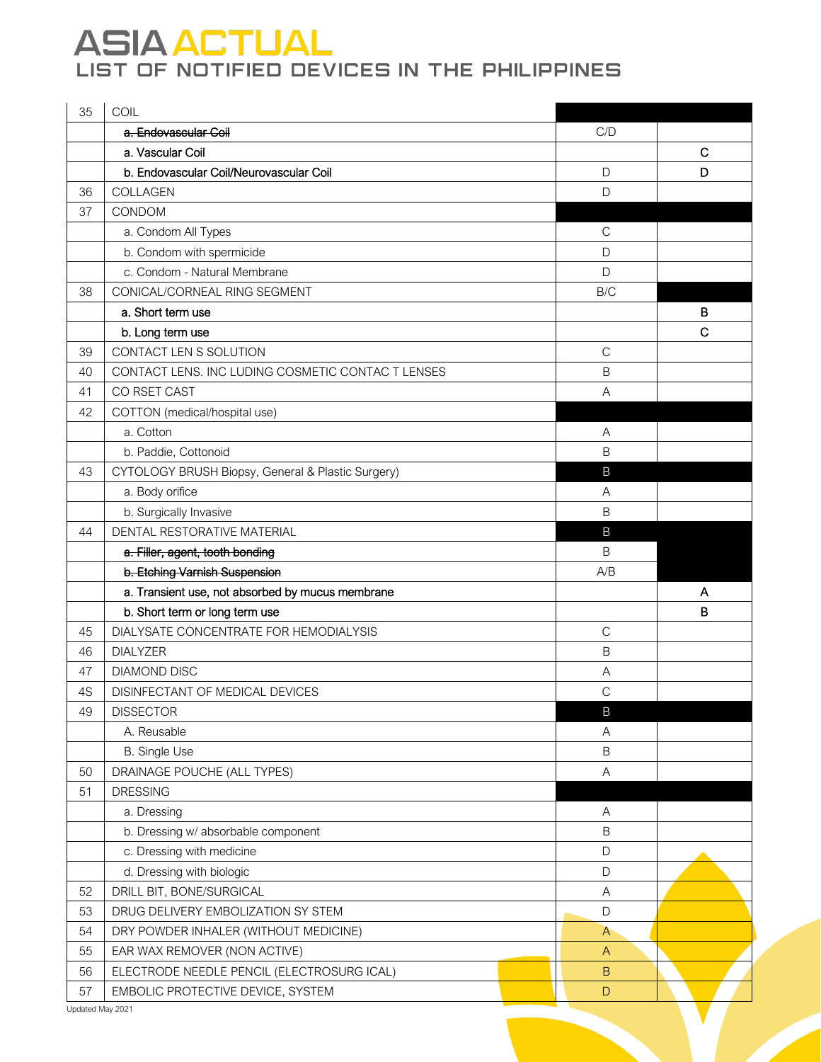| 35 | COIL                                              |                           |              |
|----|---------------------------------------------------|---------------------------|--------------|
|    | a. Endovascular Coil                              | C/D                       |              |
|    | a. Vascular Coil                                  |                           | $\mathsf{C}$ |
|    | b. Endovascular Coil/Neurovascular Coil           | D                         | D            |
| 36 | COLLAGEN                                          | $\mathsf D$               |              |
| 37 | CONDOM                                            |                           |              |
|    | a. Condom All Types                               | $\mathsf{C}$              |              |
|    | b. Condom with spermicide                         | D                         |              |
|    | c. Condom - Natural Membrane                      | D                         |              |
| 38 | CONICAL/CORNEAL RING SEGMENT                      | B/C                       |              |
|    | a. Short term use                                 |                           | в            |
|    | b. Long term use                                  |                           | $\mathbf C$  |
| 39 | CONTACT LEN S SOLUTION                            | $\mathsf{C}$              |              |
| 40 | CONTACT LENS. INC LUDING COSMETIC CONTAC T LENSES | $\mathsf B$               |              |
| 41 | CO RSET CAST                                      | A                         |              |
| 42 | COTTON (medical/hospital use)                     |                           |              |
|    | a. Cotton                                         | Α                         |              |
|    | b. Paddie, Cottonoid                              | B                         |              |
| 43 | CYTOLOGY BRUSH Biopsy, General & Plastic Surgery) | B                         |              |
|    | a. Body orifice                                   | A                         |              |
|    | b. Surgically Invasive                            | B                         |              |
| 44 | DENTAL RESTORATIVE MATERIAL                       | B                         |              |
|    | a. Filler, agent, tooth bonding                   | B                         |              |
|    | b. Etching Varnish Suspension                     | A/B                       |              |
|    | a. Transient use, not absorbed by mucus membrane  |                           | A            |
|    | b. Short term or long term use                    |                           | B            |
| 45 | DIALYSATE CONCENTRATE FOR HEMODIALYSIS            | $\mathsf{C}$              |              |
| 46 | <b>DIALYZER</b>                                   | $\mathsf B$               |              |
| 47 | <b>DIAMOND DISC</b>                               | Α                         |              |
| 4S | DISINFECTANT OF MEDICAL DEVICES                   | $\mathsf{C}$              |              |
| 49 | <b>DISSECTOR</b>                                  | $\mathsf B$               |              |
|    | A. Reusable                                       | A                         |              |
|    | <b>B.</b> Single Use                              | $\sf B$                   |              |
| 50 | DRAINAGE POUCHE (ALL TYPES)                       | $\boldsymbol{\mathsf{A}}$ |              |
| 51 | <b>DRESSING</b>                                   |                           |              |
|    | a. Dressing                                       | Α                         |              |
|    | b. Dressing w/ absorbable component               | $\sf B$                   |              |
|    | c. Dressing with medicine                         | $\mathsf D$               |              |
|    | d. Dressing with biologic                         | $\mathsf D$               |              |
| 52 | DRILL BIT, BONE/SURGICAL                          | $\mathsf A$               |              |
| 53 | DRUG DELIVERY EMBOLIZATION SY STEM                | $\mathsf D$               |              |
| 54 | DRY POWDER INHALER (WITHOUT MEDICINE)             | $\mathsf{A}$              |              |
| 55 | EAR WAX REMOVER (NON ACTIVE)                      | $\mathsf{A}$              |              |
| 56 | ELECTRODE NEEDLE PENCIL (ELECTROSURG ICAL)        | $\sf B$                   |              |
| 57 | EMBOLIC PROTECTIVE DEVICE, SYSTEM                 | D                         |              |

V

Updated May 2021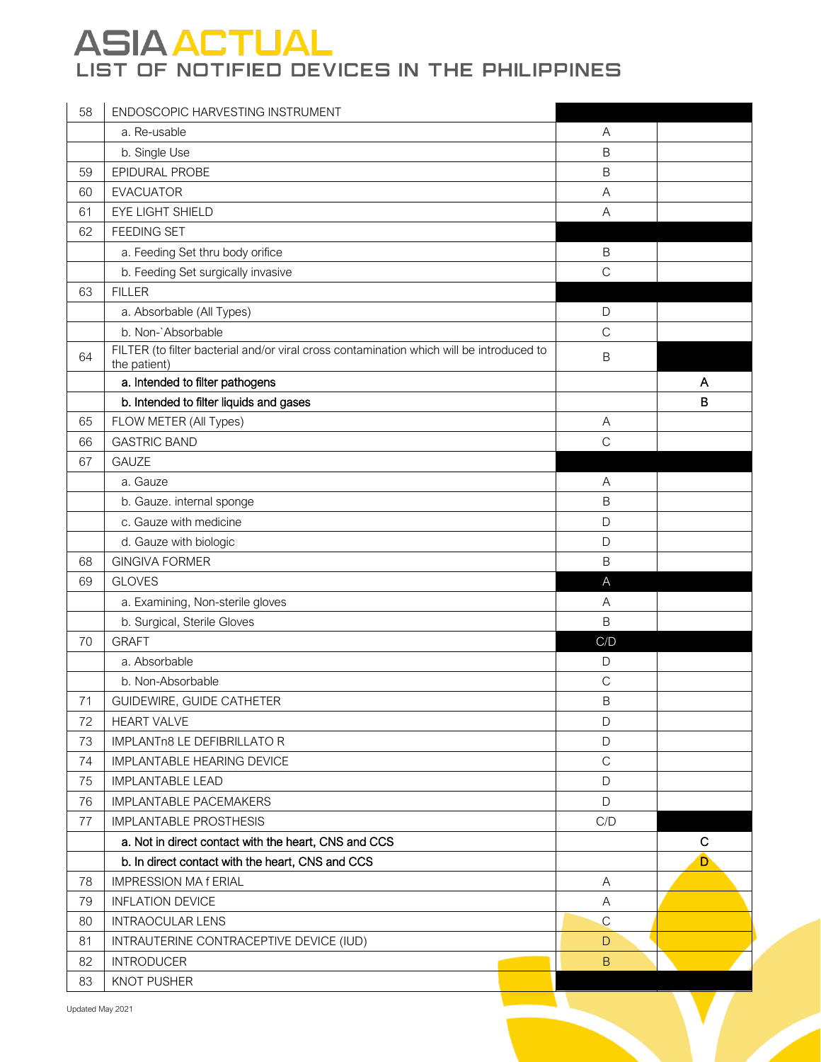| 58 | ENDOSCOPIC HARVESTING INSTRUMENT                                                                         |                |             |
|----|----------------------------------------------------------------------------------------------------------|----------------|-------------|
|    | a. Re-usable                                                                                             | Α              |             |
|    | b. Single Use                                                                                            | $\mathsf B$    |             |
| 59 | EPIDURAL PROBE                                                                                           | $\mathsf B$    |             |
| 60 | <b>EVACUATOR</b>                                                                                         | A              |             |
| 61 | EYE LIGHT SHIELD                                                                                         | $\overline{A}$ |             |
| 62 | <b>FEEDING SET</b>                                                                                       |                |             |
|    | a. Feeding Set thru body orifice                                                                         | $\mathsf B$    |             |
|    | b. Feeding Set surgically invasive                                                                       | $\mathsf{C}$   |             |
| 63 | <b>FILLER</b>                                                                                            |                |             |
|    | a. Absorbable (All Types)                                                                                | D              |             |
|    | b. Non-`Absorbable                                                                                       | $\mathsf{C}$   |             |
| 64 | FILTER (to filter bacterial and/or viral cross contamination which will be introduced to<br>the patient) | B              |             |
|    | a. Intended to filter pathogens                                                                          |                | A           |
|    | b. Intended to filter liquids and gases                                                                  |                | B           |
| 65 | FLOW METER (All Types)                                                                                   | Α              |             |
| 66 | <b>GASTRIC BAND</b>                                                                                      | $\mathsf{C}$   |             |
| 67 | <b>GAUZE</b>                                                                                             |                |             |
|    | a. Gauze                                                                                                 | Α              |             |
|    | b. Gauze. internal sponge                                                                                | $\overline{B}$ |             |
|    | c. Gauze with medicine                                                                                   | D              |             |
|    | d. Gauze with biologic                                                                                   | $\mathsf{D}$   |             |
| 68 | <b>GINGIVA FORMER</b>                                                                                    | $\mathsf B$    |             |
| 69 | <b>GLOVES</b>                                                                                            | $\overline{A}$ |             |
|    | a. Examining, Non-sterile gloves                                                                         | A              |             |
|    | b. Surgical, Sterile Gloves                                                                              | $\mathsf B$    |             |
| 70 | <b>GRAFT</b>                                                                                             | C/D            |             |
|    | a. Absorbable                                                                                            | D              |             |
|    | b. Non-Absorbable                                                                                        | $\mathsf C$    |             |
| 71 | GUIDEWIRE, GUIDE CATHETER                                                                                | B              |             |
| 72 | <b>HEART VALVE</b>                                                                                       | D              |             |
| 73 | IMPLANTn8 LE DEFIBRILLATO R                                                                              | D              |             |
| 74 | <b>IMPLANTABLE HEARING DEVICE</b>                                                                        | $\mathsf C$    |             |
| 75 | <b>IMPLANTABLE LEAD</b>                                                                                  | D              |             |
| 76 | <b>IMPLANTABLE PACEMAKERS</b>                                                                            | D              |             |
| 77 | <b>IMPLANTABLE PROSTHESIS</b>                                                                            | C/D            |             |
|    | a. Not in direct contact with the heart, CNS and CCS                                                     |                | $\mathbf C$ |
|    | b. In direct contact with the heart, CNS and CCS                                                         |                | D           |
| 78 | <b>IMPRESSION MA f ERIAL</b>                                                                             | Α              |             |
| 79 | <b>INFLATION DEVICE</b>                                                                                  | A              |             |
| 80 | <b>INTRAOCULAR LENS</b>                                                                                  | $\mathsf{C}$   |             |
| 81 | INTRAUTERINE CONTRACEPTIVE DEVICE (IUD)                                                                  | D              |             |
| 82 | <b>INTRODUCER</b>                                                                                        | B              |             |
| 83 | <b>KNOT PUSHER</b>                                                                                       |                |             |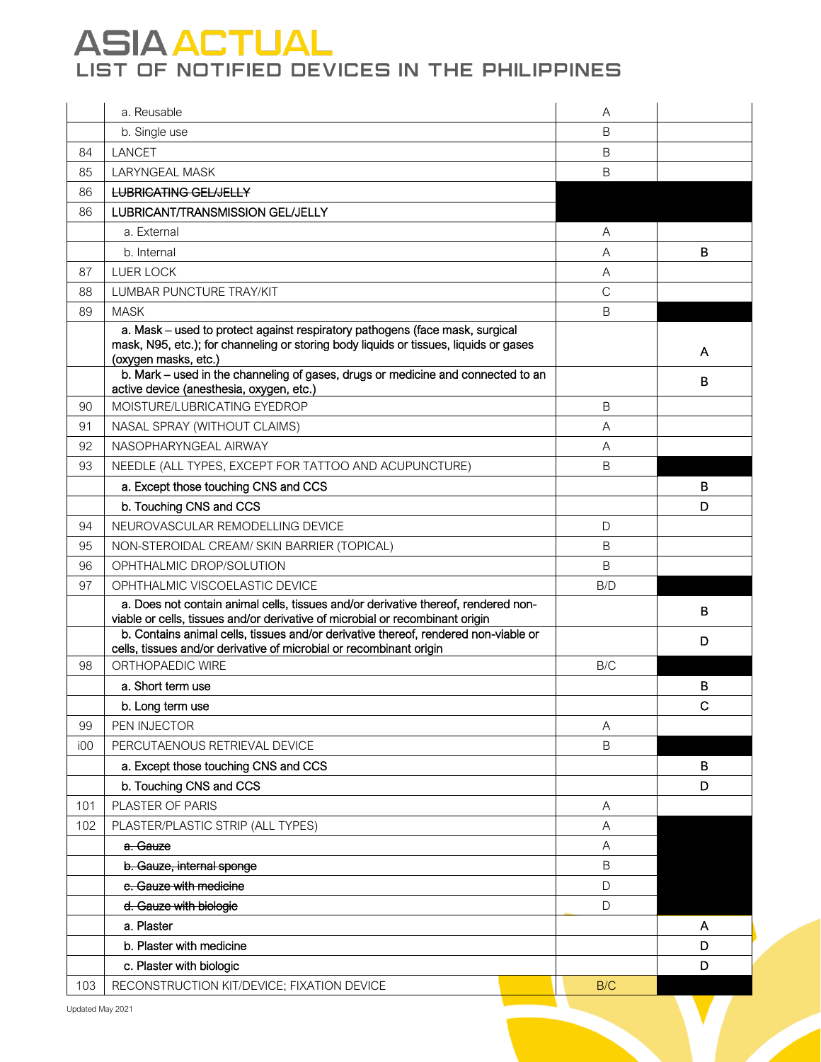|     | a. Reusable                                                                                                                                                                                   | A              |   |
|-----|-----------------------------------------------------------------------------------------------------------------------------------------------------------------------------------------------|----------------|---|
|     | b. Single use                                                                                                                                                                                 | B              |   |
| 84  | <b>LANCET</b>                                                                                                                                                                                 | B              |   |
| 85  | <b>LARYNGEAL MASK</b>                                                                                                                                                                         | B              |   |
| 86  | <b>LUBRICATING GEL/JELLY</b>                                                                                                                                                                  |                |   |
| 86  | LUBRICANT/TRANSMISSION GEL/JELLY                                                                                                                                                              |                |   |
|     | a. External                                                                                                                                                                                   | A              |   |
|     | b. Internal                                                                                                                                                                                   | A              | B |
| 87  | <b>LUER LOCK</b>                                                                                                                                                                              | A              |   |
| 88  | LUMBAR PUNCTURE TRAY/KIT                                                                                                                                                                      | $\mathsf{C}$   |   |
| 89  | <b>MASK</b>                                                                                                                                                                                   | B              |   |
|     | a. Mask - used to protect against respiratory pathogens (face mask, surgical<br>mask, N95, etc.); for channeling or storing body liquids or tissues, liquids or gases<br>(oxygen masks, etc.) |                | A |
|     | b. Mark - used in the channeling of gases, drugs or medicine and connected to an<br>active device (anesthesia, oxygen, etc.)                                                                  |                | B |
| 90  | MOISTURE/LUBRICATING EYEDROP                                                                                                                                                                  | B              |   |
| 91  | NASAL SPRAY (WITHOUT CLAIMS)                                                                                                                                                                  | $\overline{A}$ |   |
| 92  | NASOPHARYNGEAL AIRWAY                                                                                                                                                                         | A              |   |
| 93  | NEEDLE (ALL TYPES, EXCEPT FOR TATTOO AND ACUPUNCTURE)                                                                                                                                         | $\mathsf B$    |   |
|     | a. Except those touching CNS and CCS                                                                                                                                                          |                | в |
|     | b. Touching CNS and CCS                                                                                                                                                                       |                | D |
| 94  | NEUROVASCULAR REMODELLING DEVICE                                                                                                                                                              | D              |   |
| 95  | NON-STEROIDAL CREAM/ SKIN BARRIER (TOPICAL)                                                                                                                                                   | B              |   |
| 96  | OPHTHALMIC DROP/SOLUTION                                                                                                                                                                      | B              |   |
| 97  | OPHTHALMIC VISCOELASTIC DEVICE                                                                                                                                                                | B/D            |   |
|     | a. Does not contain animal cells, tissues and/or derivative thereof, rendered non-<br>viable or cells, tissues and/or derivative of microbial or recombinant origin                           |                | B |
|     | b. Contains animal cells, tissues and/or derivative thereof, rendered non-viable or<br>cells, tissues and/or derivative of microbial or recombinant origin                                    |                | D |
| 98  | ORTHOPAEDIC WIRE                                                                                                                                                                              | B/C            |   |
|     | a. Short term use                                                                                                                                                                             |                | в |
|     | b. Long term use                                                                                                                                                                              |                | C |
| 99  | PEN INJECTOR                                                                                                                                                                                  | A              |   |
| 100 | PERCUTAENOUS RETRIEVAL DEVICE                                                                                                                                                                 | B              |   |
|     | a. Except those touching CNS and CCS                                                                                                                                                          |                | B |
|     | b. Touching CNS and CCS                                                                                                                                                                       |                | D |
| 101 | PLASTER OF PARIS                                                                                                                                                                              | A              |   |
| 102 | PLASTER/PLASTIC STRIP (ALL TYPES)                                                                                                                                                             | A              |   |
|     | a. Gauze                                                                                                                                                                                      | A              |   |
|     | b. Gauze, internal sponge                                                                                                                                                                     | $\mathsf B$    |   |
|     | c. Gauze with medicine                                                                                                                                                                        | $\mathsf D$    |   |
|     | d. Gauze with biologie                                                                                                                                                                        | D              |   |
|     | a. Plaster                                                                                                                                                                                    |                | A |
|     | b. Plaster with medicine                                                                                                                                                                      |                | D |
|     | c. Plaster with biologic                                                                                                                                                                      |                | D |
| 103 | RECONSTRUCTION KIT/DEVICE; FIXATION DEVICE                                                                                                                                                    | B/C            |   |

V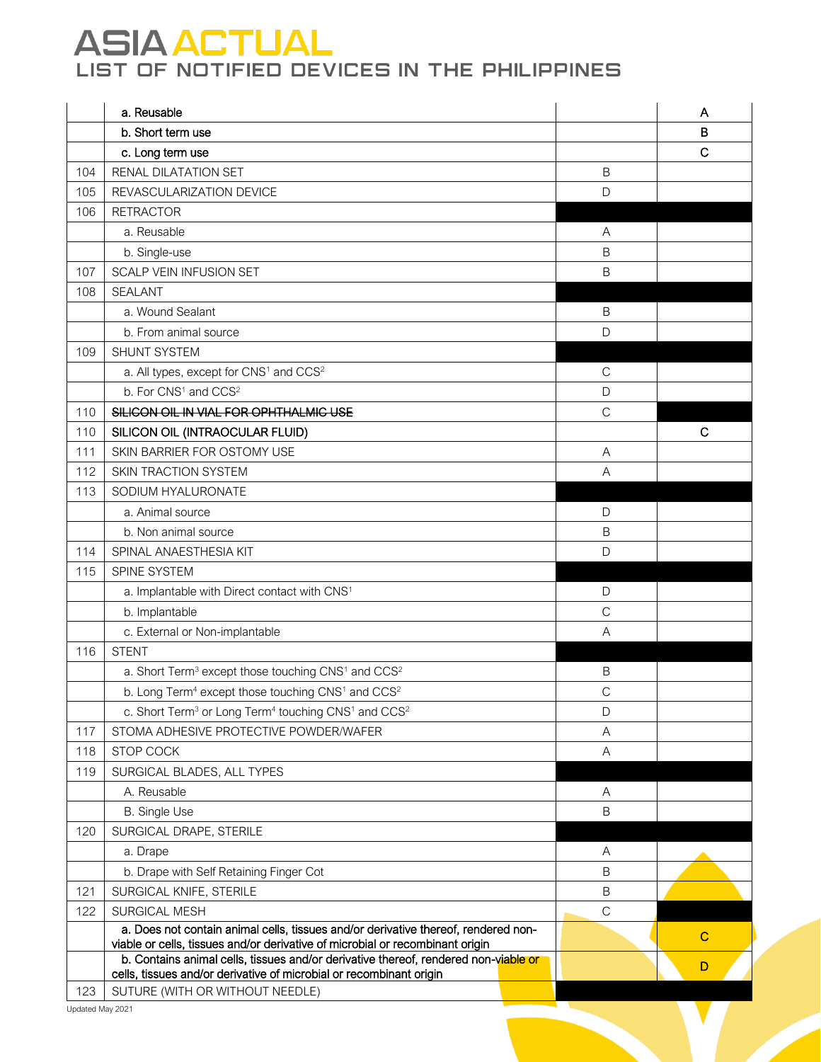|     | a. Reusable                                                                                                                                                |                | A           |
|-----|------------------------------------------------------------------------------------------------------------------------------------------------------------|----------------|-------------|
|     | b. Short term use                                                                                                                                          |                | B           |
|     | c. Long term use                                                                                                                                           |                | $\mathbf C$ |
| 104 | RENAL DILATATION SET                                                                                                                                       | B              |             |
| 105 | REVASCULARIZATION DEVICE                                                                                                                                   | D              |             |
| 106 | <b>RETRACTOR</b>                                                                                                                                           |                |             |
|     | a. Reusable                                                                                                                                                | $\overline{A}$ |             |
|     | b. Single-use                                                                                                                                              | B              |             |
| 107 | <b>SCALP VEIN INFUSION SET</b>                                                                                                                             | B              |             |
| 108 | <b>SEALANT</b>                                                                                                                                             |                |             |
|     | a. Wound Sealant                                                                                                                                           | B              |             |
|     | b. From animal source                                                                                                                                      | $\mathsf D$    |             |
| 109 | SHUNT SYSTEM                                                                                                                                               |                |             |
|     | a. All types, except for CNS <sup>1</sup> and CCS <sup>2</sup>                                                                                             | $\mathsf{C}$   |             |
|     | b. For CNS <sup>1</sup> and CCS <sup>2</sup>                                                                                                               | D              |             |
| 110 | SILICON OIL IN VIAL FOR OPHTHALMIC USE                                                                                                                     | $\mathsf{C}$   |             |
| 110 | SILICON OIL (INTRAOCULAR FLUID)                                                                                                                            |                | C           |
| 111 | SKIN BARRIER FOR OSTOMY USE                                                                                                                                | $\overline{A}$ |             |
| 112 | <b>SKIN TRACTION SYSTEM</b>                                                                                                                                | A              |             |
| 113 | SODIUM HYALURONATE                                                                                                                                         |                |             |
|     | a. Animal source                                                                                                                                           | D              |             |
|     | b. Non animal source                                                                                                                                       | B              |             |
| 114 | SPINAL ANAESTHESIA KIT                                                                                                                                     | D              |             |
| 115 | SPINE SYSTEM                                                                                                                                               |                |             |
|     | a. Implantable with Direct contact with CNS <sup>1</sup>                                                                                                   | D              |             |
|     | b. Implantable                                                                                                                                             | $\mathsf{C}$   |             |
|     | c. External or Non-implantable                                                                                                                             | A              |             |
| 116 | <b>STENT</b>                                                                                                                                               |                |             |
|     | a. Short Term <sup>3</sup> except those touching CNS <sup>1</sup> and CCS <sup>2</sup>                                                                     | Β              |             |
|     | b. Long Term <sup>4</sup> except those touching CNS <sup>1</sup> and CCS <sup>2</sup>                                                                      | $\mathsf{C}$   |             |
|     | c. Short Term <sup>3</sup> or Long Term <sup>4</sup> touching CNS <sup>1</sup> and CCS <sup>2</sup>                                                        | D              |             |
| 117 | STOMA ADHESIVE PROTECTIVE POWDER/WAFER                                                                                                                     | A              |             |
| 118 | <b>STOP COCK</b>                                                                                                                                           | A              |             |
| 119 | SURGICAL BLADES, ALL TYPES                                                                                                                                 |                |             |
|     | A. Reusable                                                                                                                                                | A              |             |
|     | <b>B.</b> Single Use                                                                                                                                       | B              |             |
| 120 | SURGICAL DRAPE, STERILE                                                                                                                                    |                |             |
|     | a. Drape                                                                                                                                                   | $\overline{A}$ |             |
|     | b. Drape with Self Retaining Finger Cot                                                                                                                    | B              |             |
| 121 | SURGICAL KNIFE, STERILE                                                                                                                                    | B              |             |
| 122 | SURGICAL MESH                                                                                                                                              | $\mathsf{C}$   |             |
|     | a. Does not contain animal cells, tissues and/or derivative thereof, rendered non-                                                                         |                | $\mathbf C$ |
|     | viable or cells, tissues and/or derivative of microbial or recombinant origin                                                                              |                |             |
|     | b. Contains animal cells, tissues and/or derivative thereof, rendered non-viable or<br>cells, tissues and/or derivative of microbial or recombinant origin |                | D           |
| 123 | SUTURE (WITH OR WITHOUT NEEDLE)                                                                                                                            |                |             |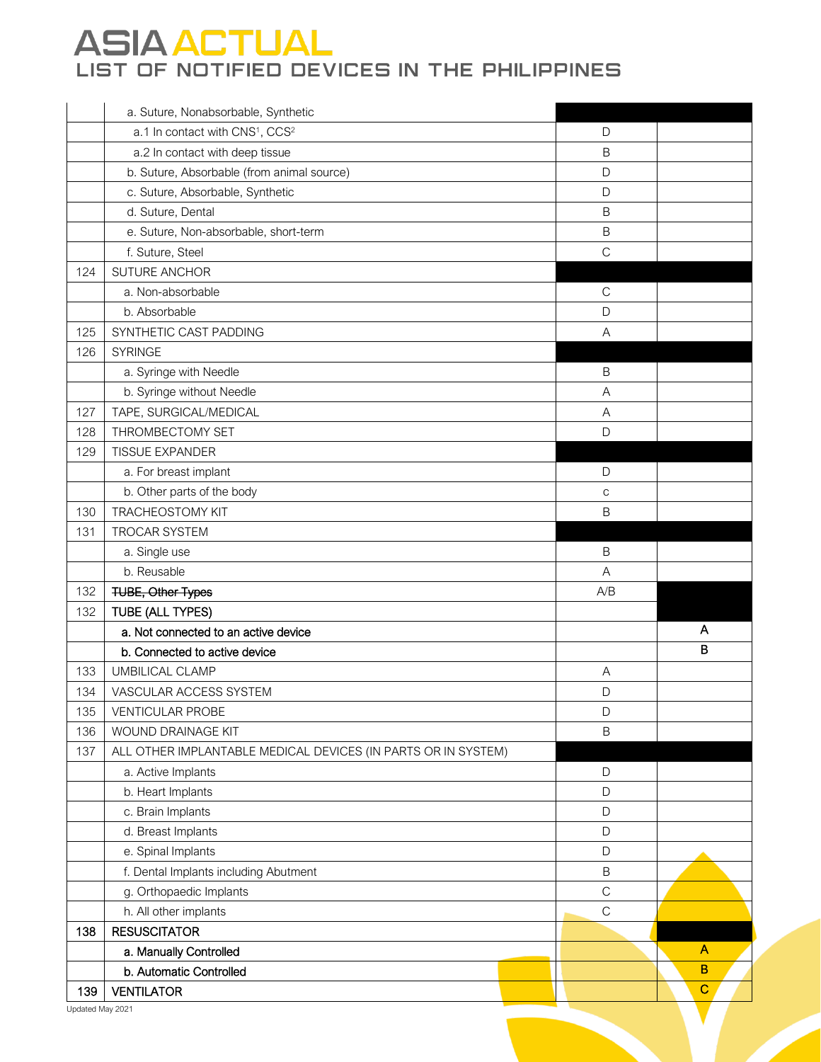|     | a. Suture, Nonabsorbable, Synthetic                           |              |              |
|-----|---------------------------------------------------------------|--------------|--------------|
|     | a.1 In contact with CNS <sup>1</sup> , CCS <sup>2</sup>       | D            |              |
|     | a.2 In contact with deep tissue                               | $\mathsf B$  |              |
|     | b. Suture, Absorbable (from animal source)                    | $\mathsf D$  |              |
|     | c. Suture, Absorbable, Synthetic                              | $\mathsf D$  |              |
|     | d. Suture, Dental                                             | $\mathsf B$  |              |
|     | e. Suture, Non-absorbable, short-term                         | $\sf B$      |              |
|     | f. Suture, Steel                                              | $\mathsf{C}$ |              |
| 124 | SUTURE ANCHOR                                                 |              |              |
|     | a. Non-absorbable                                             | $\mathsf{C}$ |              |
|     | b. Absorbable                                                 | $\mathsf D$  |              |
| 125 | SYNTHETIC CAST PADDING                                        | $\mathsf{A}$ |              |
| 126 | <b>SYRINGE</b>                                                |              |              |
|     | a. Syringe with Needle                                        | $\sf B$      |              |
|     | b. Syringe without Needle                                     | A            |              |
| 127 | TAPE, SURGICAL/MEDICAL                                        | A            |              |
| 128 | THROMBECTOMY SET                                              | D            |              |
| 129 | <b>TISSUE EXPANDER</b>                                        |              |              |
|     | a. For breast implant                                         | D            |              |
|     | b. Other parts of the body                                    | $\mathsf C$  |              |
| 130 | <b>TRACHEOSTOMY KIT</b>                                       | B            |              |
| 131 | TROCAR SYSTEM                                                 |              |              |
|     | a. Single use                                                 | $\mathsf B$  |              |
|     | b. Reusable                                                   | A            |              |
| 132 | <b>TUBE, Other Types</b>                                      | A/B          |              |
| 132 | TUBE (ALL TYPES)                                              |              |              |
|     | a. Not connected to an active device                          |              | Α            |
|     | b. Connected to active device                                 |              | B            |
| 133 | <b>UMBILICAL CLAMP</b>                                        | Α            |              |
| 134 | VASCULAR ACCESS SYSTEM                                        | D            |              |
| 135 | <b>VENTICULAR PROBE</b>                                       | D            |              |
| 136 | WOUND DRAINAGE KIT                                            | $\sf B$      |              |
| 137 | ALL OTHER IMPLANTABLE MEDICAL DEVICES (IN PARTS OR IN SYSTEM) |              |              |
|     | a. Active Implants                                            | $\mathsf D$  |              |
|     | b. Heart Implants                                             | $\mathsf D$  |              |
|     | c. Brain Implants                                             | $\mathsf D$  |              |
|     | d. Breast Implants                                            | $\mathsf D$  |              |
|     | e. Spinal Implants                                            | $\mathsf D$  |              |
|     | f. Dental Implants including Abutment                         | $\sf B$      |              |
|     | g. Orthopaedic Implants                                       | $\mathsf C$  |              |
|     | h. All other implants                                         | $\mathsf{C}$ |              |
| 138 | <b>RESUSCITATOR</b>                                           |              |              |
|     | a. Manually Controlled                                        |              | A            |
|     | b. Automatic Controlled                                       |              | $\, {\bf B}$ |
| 139 | <b>VENTILATOR</b>                                             |              | $\mathbf C$  |
|     |                                                               |              |              |

V